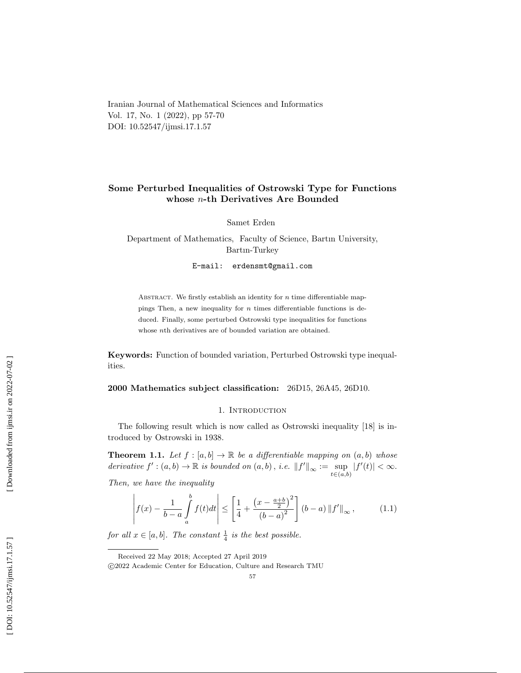Iranian Journal of Mathematical Sciences and Informatics Vol. 17, No. 1 (2022), pp 57-70 DOI: 10.52547/ijmsi.17.1.57

# Some Perturbed Inequalities of Ostrowski Type for Functions whose n-th Derivatives Are Bounded

Samet Erden

Department of Mathematics, Faculty of Science, Bartın University, Bartın-Turkey

E-mail: erdensmt@gmail.com

ABSTRACT. We firstly establish an identity for  $n$  time differentiable mappings Then, a new inequality for  $n$  times differentiable functions is deduced. Finally, some perturbed Ostrowski type inequalities for functions whose nth derivatives are of bounded variation are obtained.

Keywords: Function of bounded variation, Perturbed Ostrowski type inequalities.

2000 Mathematics subject classification: 26D15, 26A45, 26D10.

### 1. Introduction

The following result which is now called as Ostrowski inequality [18] is introduced by Ostrowski in 1938.

**Theorem 1.1.** Let  $f : [a, b] \to \mathbb{R}$  be a differentiable mapping on  $(a, b)$  whose derivative  $f' : (a, b) \to \mathbb{R}$  is bounded on  $(a, b)$ , i.e.  $||f'||_{\infty} := \sup_{t \in (a, b)} |f'(t)| < \infty$ .

Then, we have the inequality

$$
\left| f(x) - \frac{1}{b-a} \int_{a}^{b} f(t)dt \right| \le \left[ \frac{1}{4} + \frac{\left( x - \frac{a+b}{2} \right)^2}{\left( b - a \right)^2} \right] \left( b - a \right) ||f'||_{\infty}, \tag{1.1}
$$

for all  $x \in [a, b]$ . The constant  $\frac{1}{4}$  is the best possible.

Received 22 May 2018; Accepted 27 April 2019

c 2022 Academic Center for Education, Culture and Research TMU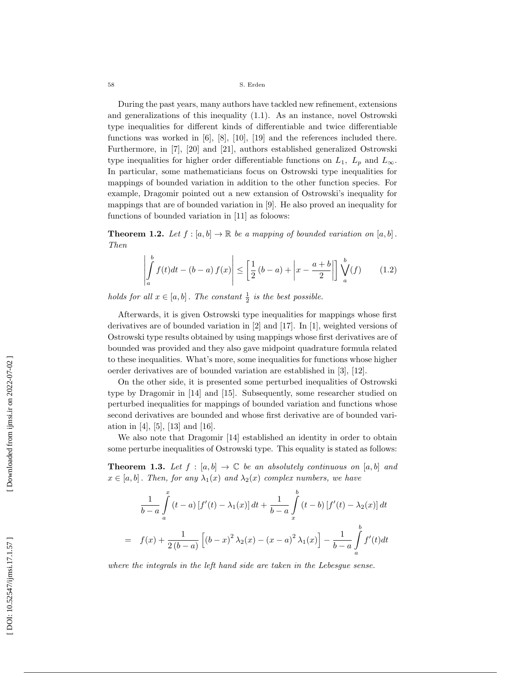During the past years, many authors have tackled new refinement, extensions and generalizations of this inequality (1.1). As an instance, novel Ostrowski type inequalities for different kinds of differentiable and twice differentiable functions was worked in [6], [8], [10], [19] and the references included there. Furthermore, in [7], [20] and [21], authors established generalized Ostrowski type inequalities for higher order differentiable functions on  $L_1$ ,  $L_p$  and  $L_{\infty}$ . In particular, some mathematicians focus on Ostrowski type inequalities for mappings of bounded variation in addition to the other function species. For example, Dragomir pointed out a new extansion of Ostrowski's inequality for mappings that are of bounded variation in [9]. He also proved an inequality for functions of bounded variation in [11] as foloows:

**Theorem 1.2.** Let  $f : [a, b] \to \mathbb{R}$  be a mapping of bounded variation on  $[a, b]$ . Then

$$
\left| \int_{a}^{b} f(t)dt - (b-a) f(x) \right| \le \left[ \frac{1}{2} (b-a) + \left| x - \frac{a+b}{2} \right| \right] \bigvee_{a}^{b} (f) \qquad (1.2)
$$

holds for all  $x \in [a, b]$ . The constant  $\frac{1}{2}$  is the best possible.

Afterwards, it is given Ostrowski type inequalities for mappings whose first derivatives are of bounded variation in [2] and [17]. In [1], weighted versions of Ostrowski type results obtained by using mappings whose first derivatives are of bounded was provided and they also gave midpoint quadrature formula related to these inequalities. What's more, some inequalities for functions whose higher oerder derivatives are of bounded variation are established in [3], [12].

On the other side, it is presented some perturbed inequalities of Ostrowski type by Dragomir in [14] and [15]. Subsequently, some researcher studied on perturbed inequalities for mappings of bounded variation and functions whose second derivatives are bounded and whose first derivative are of bounded variation in [4], [5], [13] and [16].

We also note that Dragomir [14] established an identity in order to obtain some perturbe inequalities of Ostrowski type. This equality is stated as follows:

**Theorem 1.3.** Let  $f : [a, b] \to \mathbb{C}$  be an absolutely continuous on  $[a, b]$  and  $x \in [a, b]$ . Then, for any  $\lambda_1(x)$  and  $\lambda_2(x)$  complex numbers, we have

$$
\frac{1}{b-a} \int_{a}^{x} (t-a) [f'(t) - \lambda_1(x)] dt + \frac{1}{b-a} \int_{x}^{b} (t-b) [f'(t) - \lambda_2(x)] dt
$$
  
=  $f(x) + \frac{1}{2(b-a)} [(b-x)^2 \lambda_2(x) - (x-a)^2 \lambda_1(x)] - \frac{1}{b-a} \int_{a}^{b} f'(t) dt$ 

where the integrals in the left hand side are taken in the Lebesgue sense.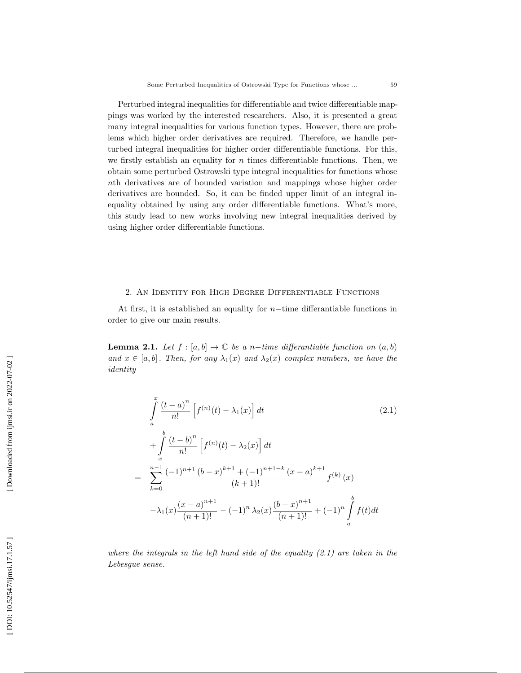Perturbed integral inequalities for differentiable and twice differentiable mappings was worked by the interested researchers. Also, it is presented a great many integral inequalities for various function types. However, there are problems which higher order derivatives are required. Therefore, we handle perturbed integral inequalities for higher order differentiable functions. For this, we firstly establish an equality for  $n$  times differentiable functions. Then, we obtain some perturbed Ostrowski type integral inequalities for functions whose nth derivatives are of bounded variation and mappings whose higher order derivatives are bounded. So, it can be finded upper limit of an integral inequality obtained by using any order differentiable functions. What's more, this study lead to new works involving new integral inequalities derived by using higher order differentiable functions.

## 2. An Identity for High Degree Differentiable Functions

At first, it is established an equality for  $n$ -time differantiable functions in order to give our main results.

**Lemma 2.1.** Let  $f : [a, b] \to \mathbb{C}$  be a n-time differantiable function on  $(a, b)$ and  $x \in [a, b]$ . Then, for any  $\lambda_1(x)$  and  $\lambda_2(x)$  complex numbers, we have the identity

$$
\int_{a}^{x} \frac{(t-a)^n}{n!} \left[ f^{(n)}(t) - \lambda_1(x) \right] dt
$$
\n
$$
+ \int_{x}^{b} \frac{(t-b)^n}{n!} \left[ f^{(n)}(t) - \lambda_2(x) \right] dt
$$
\n
$$
= \sum_{k=0}^{n-1} \frac{(-1)^{n+1} (b-x)^{k+1} + (-1)^{n+1-k} (x-a)^{k+1}}{(k+1)!} f^{(k)}(x)
$$
\n
$$
- \lambda_1(x) \frac{(x-a)^{n+1}}{(n+1)!} - (-1)^n \lambda_2(x) \frac{(b-x)^{n+1}}{(n+1)!} + (-1)^n \int_{a}^{b} f(t) dt
$$
\n(2.1)

where the integrals in the left hand side of the equality  $(2.1)$  are taken in the Lebesgue sense.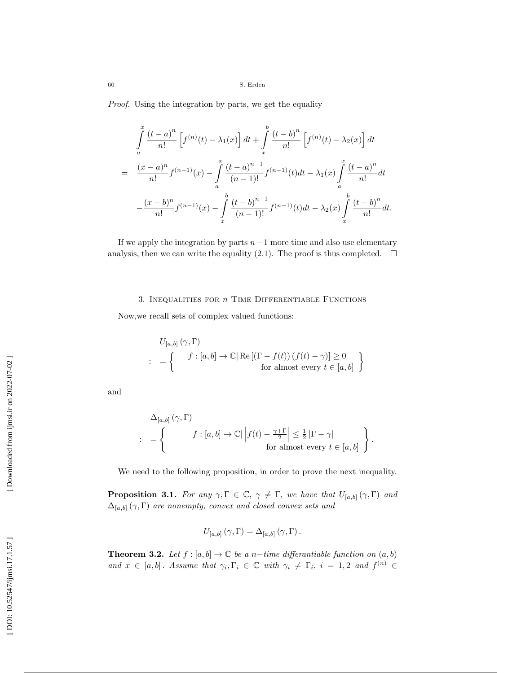Proof. Using the integration by parts, we get the equality

$$
\int_{a}^{x} \frac{(t-a)^n}{n!} \left[ f^{(n)}(t) - \lambda_1(x) \right] dt + \int_{x}^{b} \frac{(t-b)^n}{n!} \left[ f^{(n)}(t) - \lambda_2(x) \right] dt
$$
  
\n
$$
= \frac{(x-a)^n}{n!} f^{(n-1)}(x) - \int_{a}^{x} \frac{(t-a)^{n-1}}{(n-1)!} f^{(n-1)}(t) dt - \lambda_1(x) \int_{a}^{x} \frac{(t-a)^n}{n!} dt
$$
  
\n
$$
- \frac{(x-b)^n}{n!} f^{(n-1)}(x) - \int_{x}^{b} \frac{(t-b)^{n-1}}{(n-1)!} f^{(n-1)}(t) dt - \lambda_2(x) \int_{x}^{b} \frac{(t-b)^n}{n!} dt.
$$

If we apply the integration by parts  $n-1$  more time and also use elementary analysis, then we can write the equality (2.1). The proof is thus completed.  $\Box$ 

# 3. INEQUALITIES FOR  $n$  TIME DIFFERENTIABLE FUNCTIONS

Now,we recall sets of complex valued functions:

$$
U_{[a,b]}\left(\gamma,\Gamma\right)
$$
  

$$
= \left\{ \begin{array}{c} f: [a,b] \to \mathbb{C} \vert \operatorname{Re} \left[ \left( \Gamma - f(t) \right) \left( f(t) - \gamma \right) \right] \geq 0 \\ \text{for almost every } t \in [a,b] \end{array} \right\}
$$

and

$$
\Delta_{[a,b]}(\gamma, \Gamma)
$$
\n
$$
\vdots \quad = \left\{ \begin{array}{c} f : [a,b] \to \mathbb{C} \vert \left| f(t) - \frac{\gamma + \Gamma}{2} \right| \leq \frac{1}{2} \left| \Gamma - \gamma \right| \\ \text{for almost every } t \in [a,b] \end{array} \right\}.
$$

We need to the following proposition, in order to prove the next inequality.

**Proposition 3.1.** For any  $\gamma, \Gamma \in \mathbb{C}, \gamma \neq \Gamma$ , we have that  $U_{[a,b]}(\gamma, \Gamma)$  and  $\Delta_{[a,b]}(\gamma,\Gamma)$  are nonempty, convex and closed convex sets and

$$
U_{[a,b]}\left(\gamma,\Gamma\right)=\Delta_{[a,b]}\left(\gamma,\Gamma\right).
$$

**Theorem 3.2.** Let  $f : [a, b] \to \mathbb{C}$  be a n-time differantiable function on  $(a, b)$ and  $x \in [a, b]$ . Assume that  $\gamma_i, \Gamma_i \in \mathbb{C}$  with  $\gamma_i \neq \Gamma_i$ ,  $i = 1, 2$  and  $f^{(n)} \in$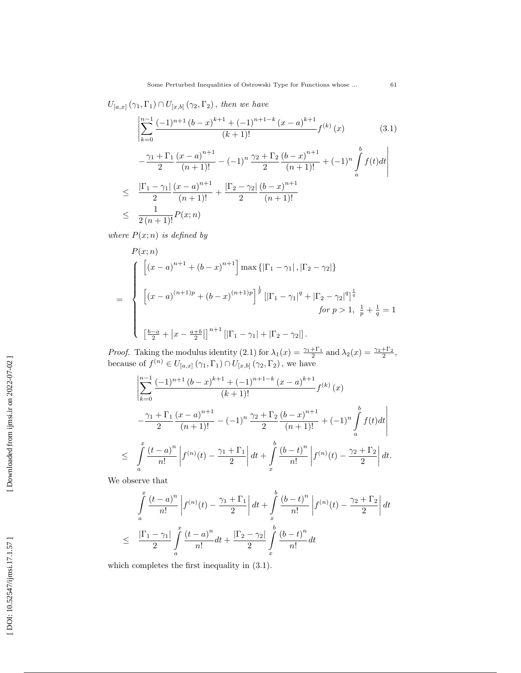$U_{[a,x]}(\gamma_1,\Gamma_1) \cap U_{[x,b]}(\gamma_2,\Gamma_2)$ , then we have

$$
\left| \sum_{k=0}^{n-1} \frac{(-1)^{n+1} (b-x)^{k+1} + (-1)^{n+1-k} (x-a)^{k+1}}{(k+1)!} f^{(k)}(x) \right|
$$
\n
$$
-\frac{\gamma_1 + \Gamma_1}{2} \frac{(x-a)^{n+1}}{(n+1)!} - (-1)^n \frac{\gamma_2 + \Gamma_2}{2} \frac{(b-x)^{n+1}}{(n+1)!} + (-1)^n \int_a^b f(t) dt \right|
$$
\n
$$
\leq \frac{|\Gamma_1 - \gamma_1|}{2} \frac{(x-a)^{n+1}}{(n+1)!} + \frac{|\Gamma_2 - \gamma_2|}{2} \frac{(b-x)^{n+1}}{(n+1)!}
$$
\n
$$
\leq \frac{1}{2(n+1)!} P(x;n)
$$
\n(3.1)

where  $P(x; n)$  is defined by

$$
P(x; n)
$$
\n
$$
= \begin{cases}\n\left[ (x - a)^{n+1} + (b - x)^{n+1} \right] \max \{ |\Gamma_1 - \gamma_1|, |\Gamma_2 - \gamma_2| \} \\
\left[ (x - a)^{(n+1)p} + (b - x)^{(n+1)p} \right]^{\frac{1}{p}} \left[ |\Gamma_1 - \gamma_1|^q + |\Gamma_2 - \gamma_2|^q \right]^{\frac{1}{q}} \\
for p > 1, \frac{1}{p} + \frac{1}{q} = 1\n\end{cases}
$$
\n
$$
\left[ \frac{b - a}{2} + |x - \frac{a + b}{2}| \right]^{n+1} \left[ |\Gamma_1 - \gamma_1| + |\Gamma_2 - \gamma_2| \right].
$$

*Proof.* Taking the modulus identity (2.1) for  $\lambda_1(x) = \frac{\gamma_1 + \Gamma_1}{2}$  and  $\lambda_2(x) = \frac{\gamma_2 + \Gamma_2}{2}$ , because of  $f^{(n)} \in U_{[a,x]}(\gamma_1,\Gamma_1) \cap U_{[x,b]}(\gamma_2,\Gamma_2)$ , we have

$$
\left| \sum_{k=0}^{n-1} \frac{(-1)^{n+1} (b-x)^{k+1} + (-1)^{n+1-k} (x-a)^{k+1}}{(k+1)!} f^{(k)}(x) - \frac{\gamma_1 + \Gamma_1}{2} \frac{(x-a)^{n+1}}{(n+1)!} - (-1)^n \frac{\gamma_2 + \Gamma_2}{2} \frac{(b-x)^{n+1}}{(n+1)!} + (-1)^n \int_a^b f(t) dt \right|
$$
  

$$
\leq \int_a^x \frac{(t-a)^n}{n!} \left| f^{(n)}(t) - \frac{\gamma_1 + \Gamma_1}{2} \right| dt + \int_x^b \frac{(b-t)^n}{n!} \left| f^{(n)}(t) - \frac{\gamma_2 + \Gamma_2}{2} \right| dt.
$$

We observe that

$$
\int_{a}^{x} \frac{(t-a)^n}{n!} \left| f^{(n)}(t) - \frac{\gamma_1 + \Gamma_1}{2} \right| dt + \int_{x}^{b} \frac{(b-t)^n}{n!} \left| f^{(n)}(t) - \frac{\gamma_2 + \Gamma_2}{2} \right| dt
$$
  

$$
\leq \frac{|\Gamma_1 - \gamma_1|}{2} \int_{a}^{x} \frac{(t-a)^n}{n!} dt + \frac{|\Gamma_2 - \gamma_2|}{2} \int_{x}^{b} \frac{(b-t)^n}{n!} dt
$$

which completes the first inequality in (3.1).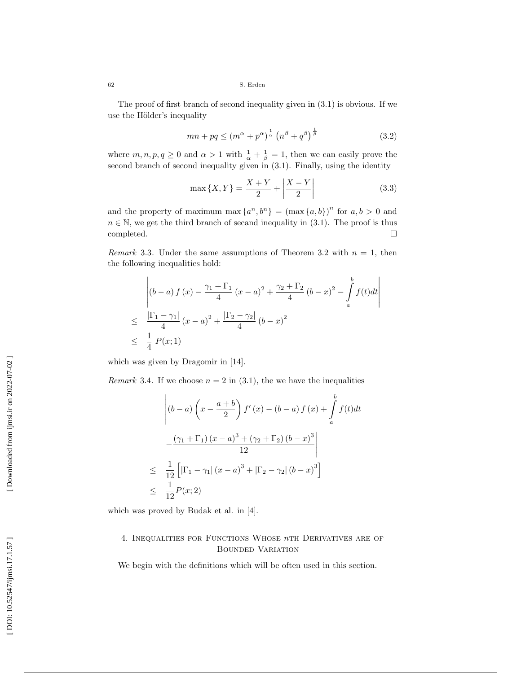The proof of first branch of second inequality given in (3.1) is obvious. If we use the Hölder's inequality

$$
mn + pq \le (m^{\alpha} + p^{\alpha})^{\frac{1}{\alpha}} \left(n^{\beta} + q^{\beta}\right)^{\frac{1}{\beta}}
$$
\n
$$
(3.2)
$$

where  $m, n, p, q \ge 0$  and  $\alpha > 1$  with  $\frac{1}{\alpha} + \frac{1}{\beta} = 1$ , then we can easily prove the second branch of second inequality given in (3.1). Finally, using the identity

$$
\max\{X, Y\} = \frac{X + Y}{2} + \left| \frac{X - Y}{2} \right| \tag{3.3}
$$

and the property of maximum max  $\{a^n, b^n\} = (\max\{a, b\})^n$  for  $a, b > 0$  and  $n \in \mathbb{N}$ , we get the third branch of secand inequality in  $(3.1)$ . The proof is thus completed.  $\Box$ 

*Remark* 3.3. Under the same assumptions of Theorem 3.2 with  $n = 1$ , then the following inequalities hold:

$$
\begin{aligned}\n&\left| (b-a) f (x) - \frac{\gamma_1 + \Gamma_1}{4} (x-a)^2 + \frac{\gamma_2 + \Gamma_2}{4} (b-x)^2 - \int_a^b f(t) dt \right| \\
&\leq \frac{|\Gamma_1 - \gamma_1|}{4} (x-a)^2 + \frac{|\Gamma_2 - \gamma_2|}{4} (b-x)^2 \\
&\leq \frac{1}{4} P(x; 1)\n\end{aligned}
$$

which was given by Dragomir in [14].

*Remark* 3.4. If we choose  $n = 2$  in (3.1), the we have the inequalities

$$
\begin{aligned}\n\left| (b-a) \left( x - \frac{a+b}{2} \right) f'(x) - (b-a) f(x) + \int_a^b f(t) dt \right| \\
-\frac{(\gamma_1 + \Gamma_1) (x-a)^3 + (\gamma_2 + \Gamma_2) (b-x)^3}{12} \\
\leq \frac{1}{12} \left[ |\Gamma_1 - \gamma_1| (x-a)^3 + |\Gamma_2 - \gamma_2| (b-x)^3 \right] \\
\leq \frac{1}{12} P(x; 2)\n\end{aligned}
$$

which was proved by Budak et al. in [4].

# 4. INEQUALITIES FOR FUNCTIONS WHOSE  $n$ th Derivatives are of Bounded Variation

We begin with the definitions which will be often used in this section.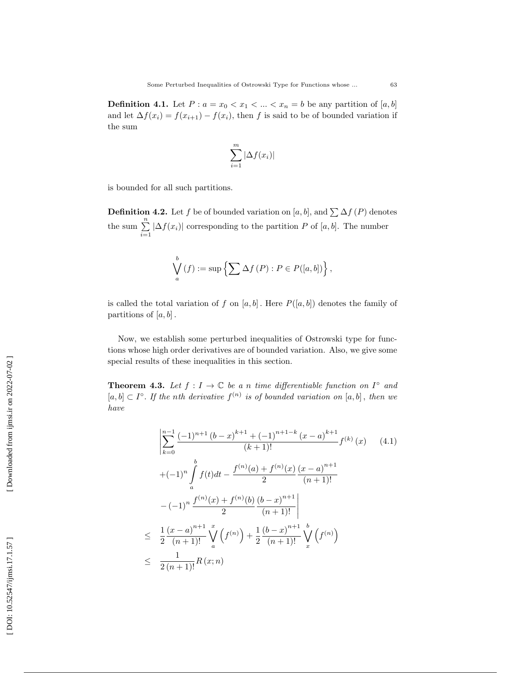**Definition 4.1.** Let  $P: a = x_0 < x_1 < ... < x_n = b$  be any partition of  $[a, b]$ and let  $\Delta f(x_i) = f(x_{i+1}) - f(x_i)$ , then f is said to be of bounded variation if the sum

$$
\sum_{i=1}^{m} |\Delta f(x_i)|
$$

is bounded for all such partitions.

**Definition 4.2.** Let f be of bounded variation on [a, b], and  $\sum \Delta f(P)$  denotes the sum  $\sum_{i=1}^{n} |\Delta f(x_i)|$  corresponding to the partition P of [a, b]. The number

$$
\bigvee_{a}^{b} (f) := \sup \left\{ \sum \Delta f(P) : P \in P([a, b]) \right\},\
$$

is called the total variation of f on  $[a, b]$ . Here  $P([a, b])$  denotes the family of partitions of  $[a, b]$ .

Now, we establish some perturbed inequalities of Ostrowski type for functions whose high order derivatives are of bounded variation. Also, we give some special results of these inequalities in this section.

**Theorem 4.3.** Let  $f: I \to \mathbb{C}$  be a n time differentiable function on  $I^{\circ}$  and  $[a, b] \subset I^{\circ}$ . If the nth derivative  $f^{(n)}$  is of bounded variation on  $[a, b]$ , then we have

$$
\left| \sum_{k=0}^{n-1} \frac{(-1)^{n+1} (b-x)^{k+1} + (-1)^{n+1-k} (x-a)^{k+1}}{(k+1)!} f^{(k)}(x) \right| (4.1)
$$
  
+ 
$$
(-1)^n \int_a^b f(t) dt - \frac{f^{(n)}(a) + f^{(n)}(x)}{2} \frac{(x-a)^{n+1}}{(n+1)!}
$$
  
- 
$$
(-1)^n \frac{f^{(n)}(x) + f^{(n)}(b)}{2} \frac{(b-x)^{n+1}}{(n+1)!}
$$
  

$$
\leq \frac{1}{2} \frac{(x-a)^{n+1}}{(n+1)!} \bigvee_a^x \left(f^{(n)}\right) + \frac{1}{2} \frac{(b-x)^{n+1}}{(n+1)!} \bigvee_a^b \left(f^{(n)}\right)
$$
  

$$
\leq \frac{1}{2(n+1)!} R(x;n)
$$
 (4.1)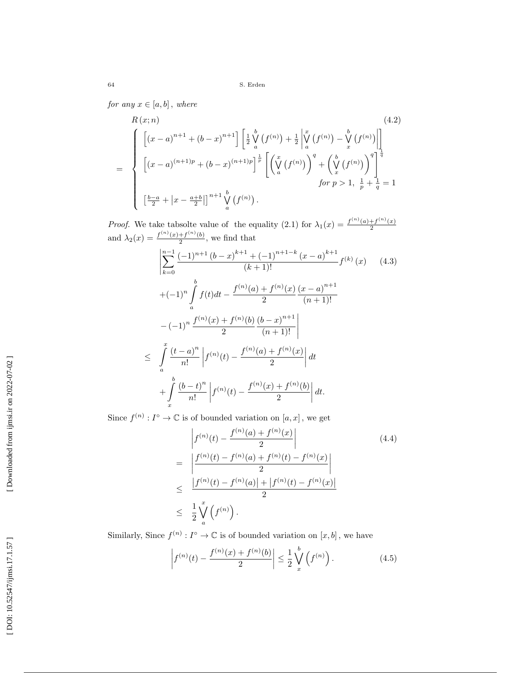for any  $x \in [a, b]$ , where

$$
R(x; n)
$$
\n
$$
= \begin{cases}\n\left[ (x-a)^{n+1} + (b-x)^{n+1} \right] \left[ \frac{1}{2} \bigvee_{a}^{b} (f^{(n)}) + \frac{1}{2} \bigvee_{a}^{x} (f^{(n)}) - \bigvee_{x}^{b} (f^{(n)}) \bigw\right] \\
\left[ (x-a)^{(n+1)p} + (b-x)^{(n+1)p} \right]^{\frac{1}{p}} \left[ \left( \bigvee_{a}^{x} (f^{(n)}) \right)^{q} + \left( \bigvee_{x}^{b} (f^{(n)}) \right)^{q} \right]^{\frac{1}{q}} \\
for p > 1, \frac{1}{p} + \frac{1}{q} = 1 \\
\left[ \frac{b-a}{2} + \left| x - \frac{a+b}{2} \right| \right]^{n+1} \bigvee_{a}^{b} (f^{(n)}).
$$
\n(4.2)

*Proof.* We take tabsolte value of the equality (2.1) for  $\lambda_1(x) = \frac{f^{(n)}(a) + f^{(n)}(x)}{2}$ 2 and  $\lambda_2(x) = \frac{f^{(n)}(x) + f^{(n)}(b)}{2}$  $\frac{+f^{(n)}(b)}{2}$ , we find that

$$
\left| \sum_{k=0}^{n-1} \frac{(-1)^{n+1} (b-x)^{k+1} + (-1)^{n+1-k} (x-a)^{k+1}}{(k+1)!} f^{(k)}(x) \right| (4.3)
$$
  
+ 
$$
(-1)^n \int_a^b f(t) dt - \frac{f^{(n)}(a) + f^{(n)}(x)}{2} \frac{(x-a)^{n+1}}{(n+1)!}
$$
  
- 
$$
(-1)^n \frac{f^{(n)}(x) + f^{(n)}(b)}{2} \frac{(b-x)^{n+1}}{(n+1)!}
$$
  

$$
\leq \int_a^x \frac{(t-a)^n}{n!} \left| f^{(n)}(t) - \frac{f^{(n)}(a) + f^{(n)}(x)}{2} \right| dt
$$
  
+ 
$$
\int_x^b \frac{(b-t)^n}{n!} \left| f^{(n)}(t) - \frac{f^{(n)}(x) + f^{(n)}(b)}{2} \right| dt.
$$
 (4.3)

Since  $f^{(n)}: I^{\circ} \to \mathbb{C}$  is of bounded variation on  $[a, x]$ , we get

$$
\begin{aligned}\n&\left| f^{(n)}(t) - \frac{f^{(n)}(a) + f^{(n)}(x)}{2} \right| \\
&= \left| \frac{f^{(n)}(t) - f^{(n)}(a) + f^{(n)}(t) - f^{(n)}(x)}{2} \right| \\
&\leq \frac{|f^{(n)}(t) - f^{(n)}(a)| + |f^{(n)}(t) - f^{(n)}(x)|}{2} \\
&\leq \frac{1}{2} \bigvee_{a}^{x} \left( f^{(n)} \right).\n\end{aligned} \tag{4.4}
$$

Similarly, Since  $f^{(n)}: I^{\circ} \to \mathbb{C}$  is of bounded variation on  $[x, b]$ , we have

$$
\left| f^{(n)}(t) - \frac{f^{(n)}(x) + f^{(n)}(b)}{2} \right| \le \frac{1}{2} \bigvee_x^b \left( f^{(n)} \right). \tag{4.5}
$$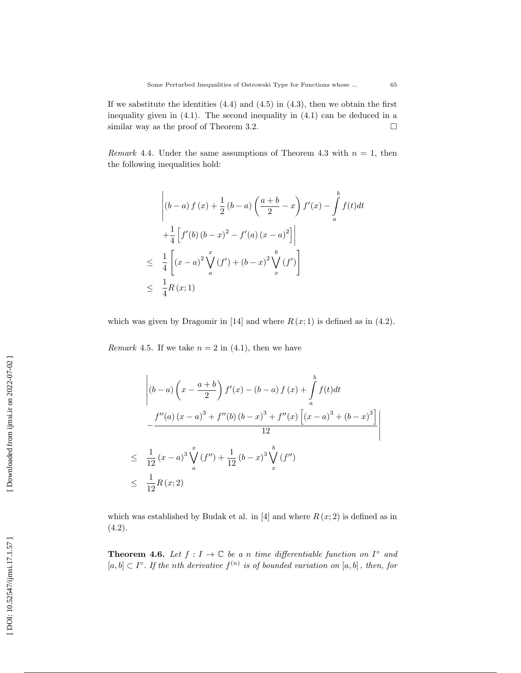If we sabstitute the identities  $(4.4)$  and  $(4.5)$  in  $(4.3)$ , then we obtain the first inequality given in  $(4.1)$ . The second inequality in  $(4.1)$  can be deduced in a similar way as the proof of Theorem 3.2.  $\Box$ 

*Remark* 4.4. Under the same assumptions of Theorem 4.3 with  $n = 1$ , then the following inequalities hold:

$$
\begin{aligned}\n&\left| (b-a) f (x) + \frac{1}{2} (b-a) \left( \frac{a+b}{2} - x \right) f'(x) - \int_a^b f(t) dt \right| \\
&+ \frac{1}{4} \left[ f'(b) (b-x)^2 - f'(a) (x-a)^2 \right] \\
&\leq \frac{1}{4} \left[ (x-a)^2 \bigvee_a^x (f') + (b-x)^2 \bigvee_x^b (f') \right] \\
&\leq \frac{1}{4} R(x;1)\n\end{aligned}
$$

which was given by Dragomir in [14] and where  $R(x; 1)$  is defined as in (4.2).

*Remark* 4.5. If we take  $n = 2$  in (4.1), then we have

$$
\begin{aligned}\n&\left| (b-a) \left( x - \frac{a+b}{2} \right) f'(x) - (b-a) f(x) + \int_a^b f(t) dt \right| \\
&- \frac{f''(a) (x-a)^3 + f''(b) (b-x)^3 + f''(x) \left[ (x-a)^3 + (b-x)^3 \right]}{12} \right| \\
&\leq \frac{1}{12} (x-a)^3 \bigvee_a^x (f'') + \frac{1}{12} (b-x)^3 \bigvee_x^b (f'') \\
&\leq \frac{1}{12} R(x; 2)\n\end{aligned}
$$

which was established by Budak et al. in [4] and where  $R(x; 2)$  is defined as in (4.2).

**Theorem 4.6.** Let  $f: I \to \mathbb{C}$  be a n time differentiable function on  $I^{\circ}$  and  $[a,b] \subset I^{\circ}$ . If the nth derivative  $f^{(n)}$  is of bounded variation on  $[a,b]$ , then, for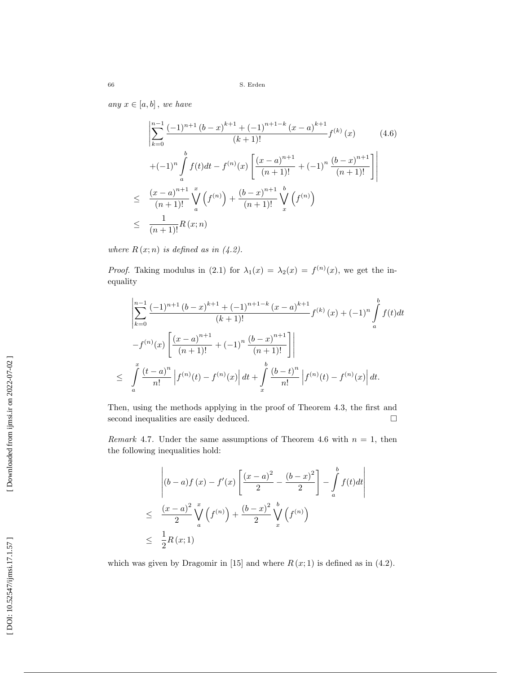any  $x \in [a, b]$ , we have

$$
\left| \sum_{k=0}^{n-1} \frac{(-1)^{n+1} (b-x)^{k+1} + (-1)^{n+1-k} (x-a)^{k+1}}{(k+1)!} f^{(k)}(x) \right|
$$
\n
$$
+ (-1)^n \int_a^b f(t) dt - f^{(n)}(x) \left[ \frac{(x-a)^{n+1}}{(n+1)!} + (-1)^n \frac{(b-x)^{n+1}}{(n+1)!} \right]
$$
\n
$$
\leq \frac{(x-a)^{n+1}}{(n+1)!} \int_a^x (f^{(n)}) + \frac{(b-x)^{n+1}}{(n+1)!} \int_x^b (f^{(n)})
$$
\n
$$
\leq \frac{1}{(n+1)!} R(x;n)
$$
\n(4.6)

where  $R(x; n)$  is defined as in  $(4.2)$ .

*Proof.* Taking modulus in (2.1) for  $\lambda_1(x) = \lambda_2(x) = f^{(n)}(x)$ , we get the inequality

$$
\left| \sum_{k=0}^{n-1} \frac{(-1)^{n+1} (b-x)^{k+1} + (-1)^{n+1-k} (x-a)^{k+1}}{(k+1)!} f^{(k)}(x) + (-1)^n \int_a^b f(t) dt \right|
$$
  

$$
-f^{(n)}(x) \left[ \frac{(x-a)^{n+1}}{(n+1)!} + (-1)^n \frac{(b-x)^{n+1}}{(n+1)!} \right]
$$
  

$$
\leq \int_a^x \frac{(t-a)^n}{n!} \left| f^{(n)}(t) - f^{(n)}(x) \right| dt + \int_x^b \frac{(b-t)^n}{n!} \left| f^{(n)}(t) - f^{(n)}(x) \right| dt.
$$

Then, using the methods applying in the proof of Theorem 4.3, the first and second inequalities are easily deduced.  $\Box$ 

*Remark* 4.7. Under the same assumptions of Theorem 4.6 with  $n = 1$ , then the following inequalities hold:

$$
\begin{aligned} & \left| (b-a)f(x) - f'(x) \left[ \frac{(x-a)^2}{2} - \frac{(b-x)^2}{2} \right] - \int_a^b f(t)dt \right| \\ &\leq \frac{(x-a)^2}{2} \bigvee_a^x \left( f^{(n)} \right) + \frac{(b-x)^2}{2} \bigvee_x^b \left( f^{(n)} \right) \\ &\leq \frac{1}{2} R(x;1) \end{aligned}
$$

which was given by Dragomir in [15] and where  $R(x; 1)$  is defined as in (4.2).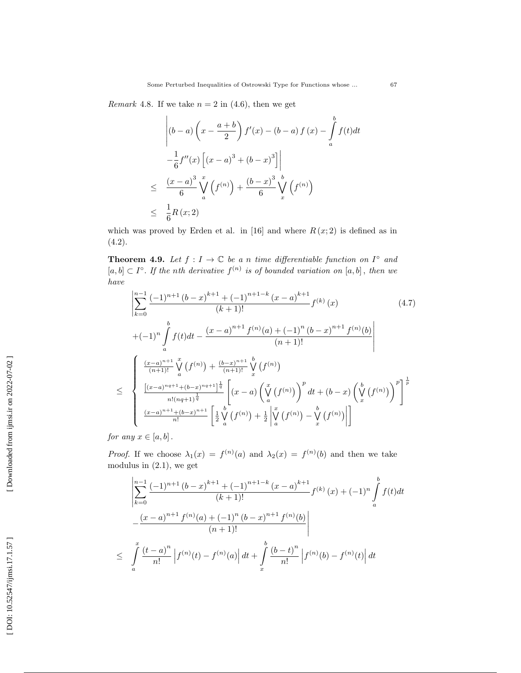*Remark* 4.8. If we take  $n = 2$  in (4.6), then we get

$$
\begin{aligned}\n&\left| (b-a) \left( x - \frac{a+b}{2} \right) f'(x) - (b-a) f(x) - \int_a^b f(t) dt \right| \\
&\left. - \frac{1}{6} f''(x) \left[ (x-a)^3 + (b-x)^3 \right] \right| \\
&\leq \left. \frac{(x-a)^3}{6} \int_a^x \left( f^{(n)} \right) + \frac{(b-x)^3}{6} \int_x^b \left( f^{(n)} \right) \right| \\
&\leq \left. \frac{1}{6} R(x; 2) \right]\n\end{aligned}
$$

which was proved by Erden et al. in [16] and where  $R(x; 2)$  is defined as in (4.2).

**Theorem 4.9.** Let  $f: I \to \mathbb{C}$  be a n time differentiable function on  $I^{\circ}$  and  $[a, b] \subset I^{\circ}$ . If the nth derivative  $f^{(n)}$  is of bounded variation on  $[a, b]$ , then we have

$$
\left| \sum_{k=0}^{n-1} \frac{(-1)^{n+1} (b-x)^{k+1} + (-1)^{n+1-k} (x-a)^{k+1}}{(k+1)!} f^{(k)}(x) \right|
$$
\n
$$
+ (-1)^n \int_a^b f(t) dt - \frac{(x-a)^{n+1} f^{(n)}(a) + (-1)^n (b-x)^{n+1} f^{(n)}(b)}{(n+1)!} \right|
$$
\n
$$
\leq \left\{ \frac{\left(\frac{(x-a)^{n+1}}{(n+1)!} \int_a^x (f^{(n)}) + \frac{(b-x)^{n+1}}{(n+1)!} \int_x^b (f^{(n)}) dx}{n!(n+1)!} \left[ (x-a) \left( \int_a^x (f^{(n)}) \right)^p dt + (b-x) \left( \int_x^b (f^{(n)}) \right)^p \right]^\frac{1}{p}}{\frac{(x-a)^{n+1} + (b-x)^{n+1}}{n!}} \left[ \frac{1}{2} \int_a^b (f^{(n)}) + \frac{1}{2} \left| \int_a^x (f^{(n)}) - \int_x^b (f^{(n)}) \right| \right]
$$
\n(4.7)

for any  $x \in [a, b]$ .

*Proof.* If we choose  $\lambda_1(x) = f^{(n)}(a)$  and  $\lambda_2(x) = f^{(n)}(b)$  and then we take modulus in (2.1), we get

$$
\left| \sum_{k=0}^{n-1} \frac{(-1)^{n+1} (b-x)^{k+1} + (-1)^{n+1-k} (x-a)^{k+1}}{(k+1)!} f^{(k)}(x) + (-1)^n \int_a^b f(t) dt \right|
$$
  

$$
-\frac{(x-a)^{n+1} f^{(n)}(a) + (-1)^n (b-x)^{n+1} f^{(n)}(b)}{(n+1)!} \right|
$$
  

$$
\leq \int_a^x \frac{(t-a)^n}{n!} \left| f^{(n)}(t) - f^{(n)}(a) \right| dt + \int_x^b \frac{(b-t)^n}{n!} \left| f^{(n)}(b) - f^{(n)}(t) \right| dt
$$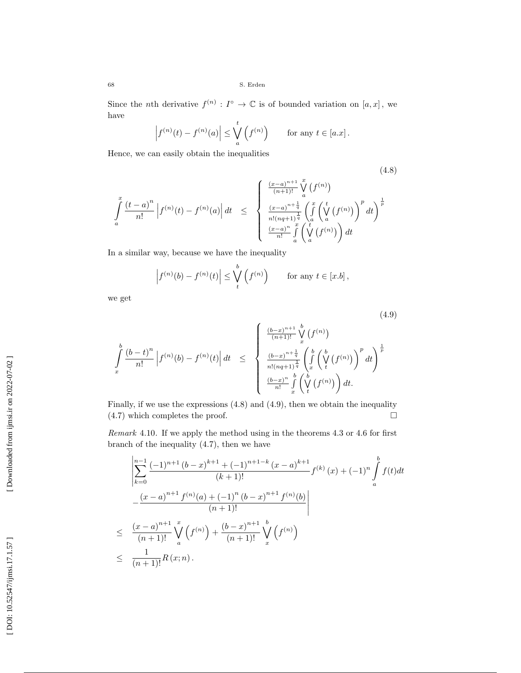Since the *n*th derivative  $f^{(n)} : I^{\circ} \to \mathbb{C}$  is of bounded variation on [a, x], we have

$$
\left|f^{(n)}(t) - f^{(n)}(a)\right| \leq \bigvee_{a}^{t} \left(f^{(n)}\right) \quad \text{for any } t \in [a.x].
$$

Hence, we can easily obtain the inequalities

$$
\frac{(-a)^n}{n!} \left| f^{(n)}(t) - f^{(n)}(a) \right| dt \le \begin{cases} \frac{(x-a)^{n+1}}{(n+1)!} \bigvee_{a}^x \left( f^{(n)} \right) \\ \frac{(x-a)^{n+\frac{1}{q}}}{n!(nq+1)^{\frac{1}{q}}} \left( \int_a^x \left( \bigvee_{a}^t \left( f^{(n)} \right) \right)^p dt \right)^{\frac{1}{p}} \\ \frac{(x-a)^n}{n!} \int_a^x \left( \bigvee_{a}^t \left( f^{(n)} \right) \right) dt \end{cases} (4.8)
$$

(4.9)

 $\frac{1}{n!(nq+1)^{\frac{1}{q}}}$ 

 $(x-a)^n$ 

 $\frac{(-a)^n}{n!} \int_a^x \left(\bigvee_a^t (f^{(n)})\right) dt$ In a similar way, because we have the inequality

$$
\left|f^{(n)}(b) - f^{(n)}(t)\right| \leq \bigvee_{t}^{b} \left(f^{(n)}\right) \quad \text{for any } t \in [x.b],
$$

we get

 $\int\limits_{a}^{x}\frac{\left( t-a\right) ^{n}}{n!}$ 

$$
\int_{x}^{b} \frac{(b-t)^n}{n!} \left| f^{(n)}(b) - f^{(n)}(t) \right| dt \leq \begin{cases} \frac{(b-x)^{n+1}}{(n+1)!} \bigvee_{x}^{b} \left( f^{(n)} \right) \\ \frac{(b-x)^{n+\frac{1}{q}}}{n!(n+1)^{\frac{1}{q}}} \left( \int_{x}^{b} \left( \bigvee_{t}^{b} \left( f^{(n)} \right) \right)^p dt \right)^{\frac{1}{p}} \\ \frac{(b-x)^n}{n!} \int_{x}^{b} \left( \bigvee_{t}^{b} \left( f^{(n)} \right) \right) dt. \end{cases}
$$

Finally, if we use the expressions (4.8) and (4.9), then we obtain the inequality (4.7) which completes the proof.  $\Box$ 

Remark 4.10 . If we apply the method using in the theorems 4.3 or 4.6 for first branch of the inequality (4.7), then we have

$$
\left| \sum_{k=0}^{n-1} \frac{(-1)^{n+1} (b-x)^{k+1} + (-1)^{n+1-k} (x-a)^{k+1}}{(k+1)!} f^{(k)}(x) + (-1)^n \int_a^b f(t) dt \right|
$$
  

$$
-\frac{(x-a)^{n+1} f^{(n)}(a) + (-1)^n (b-x)^{n+1} f^{(n)}(b)}{(n+1)!}
$$
  

$$
\leq \frac{(x-a)^{n+1}}{(n+1)!} \sum_a^x \left( f^{(n)} \right) + \frac{(b-x)^{n+1}}{(n+1)!} \sum_x^b \left( f^{(n)} \right)
$$
  

$$
\leq \frac{1}{(n+1)!} R(x;n).
$$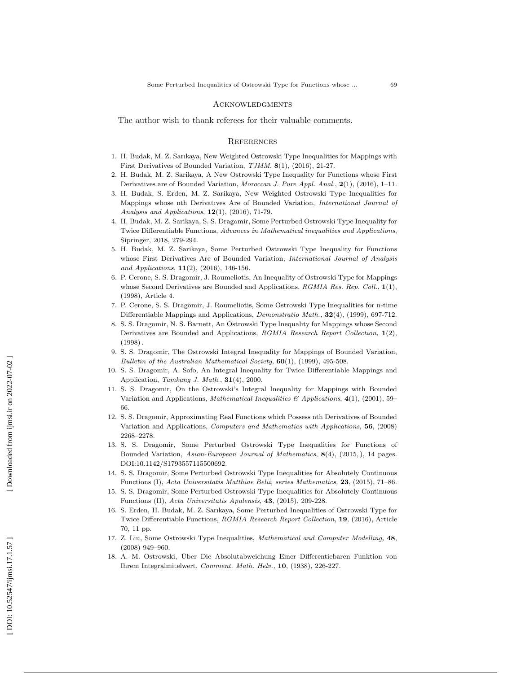#### **ACKNOWLEDGMENTS**

The author wish to thank referees for their valuable comments.

### **REFERENCES**

- 1. H. Budak, M. Z. Sarıkaya, New Weighted Ostrowski Type Inequalities for Mappings with First Derivatives of Bounded Variation, TJMM, 8(1), (2016), 21-27.
- 2. H. Budak, M. Z. Sarikaya, A New Ostrowski Type Inequality for Functions whose First Derivatives are of Bounded Variation, Moroccan J. Pure Appl. Anal.,  $2(1)$ ,  $(2016)$ , 1–11.
- 3. H. Budak, S. Erden, M. Z. Sarikaya, New Weighted Ostrowski Type Inequalities for Mappings whose nth Derivatıves Are of Bounded Variation, International Journal of Analysis and Applications,  $12(1)$ ,  $(2016)$ , 71-79.
- 4. H. Budak, M. Z. Sarikaya, S. S. Dragomir, Some Perturbed Ostrowski Type Inequality for Twice Differentiable Functions, Advances in Mathematical inequalities and Applications, Sipringer, 2018, 279-294.
- 5. H. Budak, M. Z. Sarikaya, Some Perturbed Ostrowski Type Inequality for Functions whose First Derivatives Are of Bounded Variation, *International Journal of Analysis* and Applications, **11**(2), (2016), 146-156.
- 6. P. Cerone, S. S. Dragomir, J. Roumeliotis, An Inequality of Ostrowski Type for Mappings whose Second Derivatives are Bounded and Applications,  $RGMIA$  Res. Rep. Coll.,  $1(1)$ , (1998), Article 4.
- 7. P. Cerone, S. S. Dragomir, J. Roumeliotis, Some Ostrowski Type Inequalities for n-time Differentiable Mappings and Applications, *Demonstratio Math.*, **32**(4), (1999), 697-712.
- 8. S. S. Dragomir, N. S. Barnett, An Ostrowski Type Inequality for Mappings whose Second Derivatives are Bounded and Applications, RGMIA Research Report Collection, 1(2), (1998) .
- 9. S. S. Dragomir, The Ostrowski Integral Inequality for Mappings of Bounded Variation, Bulletin of the Australian Mathematical Society,  $60(1)$ , (1999), 495-508.
- 10. S. S. Dragomir, A. Sofo, An Integral Inequality for Twice Differentiable Mappings and Application, Tamkang J. Math.,  $31(4)$ , 2000.
- 11. S. S. Dragomir, On the Ostrowski's Integral Inequality for Mappings with Bounded Variation and Applications, *Mathematical Inequalities*  $\mathscr{B}$  Applications, 4(1), (2001), 59– 66.
- 12. S. S. Dragomir, Approximating Real Functions which Possess nth Derivatives of Bounded Variation and Applications, Computers and Mathematics with Applications, 56, (2008) 2268–2278.
- 13. S. S. Dragomir, Some Perturbed Ostrowski Type Inequalities for Functions of Bounded Variation, Asian-European Journal of Mathematics, 8(4), (2015,), 14 pages. DOI:10.1142/S1793557115500692.
- 14. S. S. Dragomir, Some Perturbed Ostrowski Type Inequalities for Absolutely Continuous Functions (I), Acta Universitatis Matthiae Belii, series Mathematics, 23, (2015), 71–86.
- 15. S. S. Dragomir, Some Perturbed Ostrowski Type Inequalities for Absolutely Continuous Functions (II), Acta Universitatis Apulensis,  $43$ ,  $(2015)$ ,  $209-228$ .
- 16. S. Erden, H. Budak, M. Z. Sarıkaya, Some Perturbed Inequalities of Ostrowski Type for Twice Differentiable Functions, RGMIA Research Report Collection, 19, (2016), Article 70, 11 pp.
- 17. Z. Liu, Some Ostrowski Type Inequalities, Mathematical and Computer Modelling, 48, (2008) 949–960.
- 18. A. M. Ostrowski, Uber Die Absolutabweichung Einer Differentiebaren Funktion von ¨ Ihrem Integralmitelwert, Comment. Math. Helv., 10, (1938), 226-227.